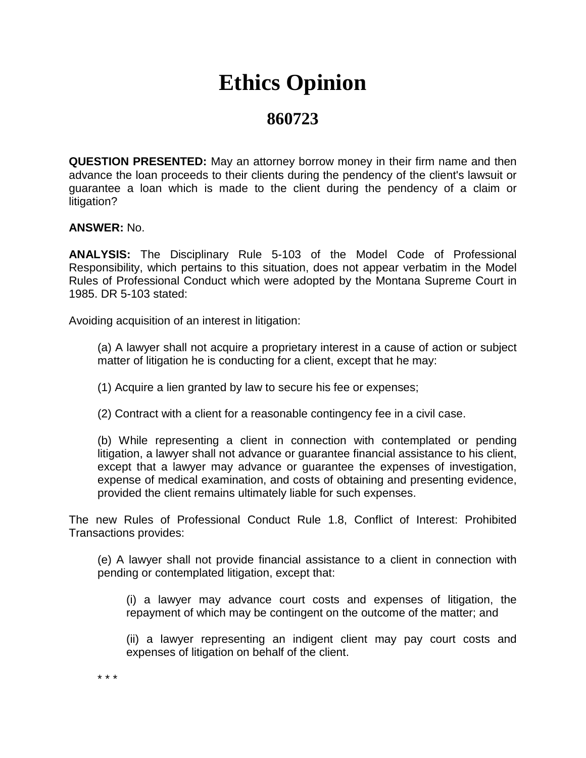## **Ethics Opinion**

## **860723**

**QUESTION PRESENTED:** May an attorney borrow money in their firm name and then advance the loan proceeds to their clients during the pendency of the client's lawsuit or guarantee a loan which is made to the client during the pendency of a claim or litigation?

**ANSWER:** No.

**ANALYSIS:** The Disciplinary Rule 5-103 of the Model Code of Professional Responsibility, which pertains to this situation, does not appear verbatim in the Model Rules of Professional Conduct which were adopted by the Montana Supreme Court in 1985. DR 5-103 stated:

Avoiding acquisition of an interest in litigation:

(a) A lawyer shall not acquire a proprietary interest in a cause of action or subject matter of litigation he is conducting for a client, except that he may:

(1) Acquire a lien granted by law to secure his fee or expenses;

(2) Contract with a client for a reasonable contingency fee in a civil case.

(b) While representing a client in connection with contemplated or pending litigation, a lawyer shall not advance or guarantee financial assistance to his client, except that a lawyer may advance or guarantee the expenses of investigation, expense of medical examination, and costs of obtaining and presenting evidence, provided the client remains ultimately liable for such expenses.

The new Rules of Professional Conduct Rule 1.8, Conflict of Interest: Prohibited Transactions provides:

(e) A lawyer shall not provide financial assistance to a client in connection with pending or contemplated litigation, except that:

(i) a lawyer may advance court costs and expenses of litigation, the repayment of which may be contingent on the outcome of the matter; and

(ii) a lawyer representing an indigent client may pay court costs and expenses of litigation on behalf of the client.

\* \* \*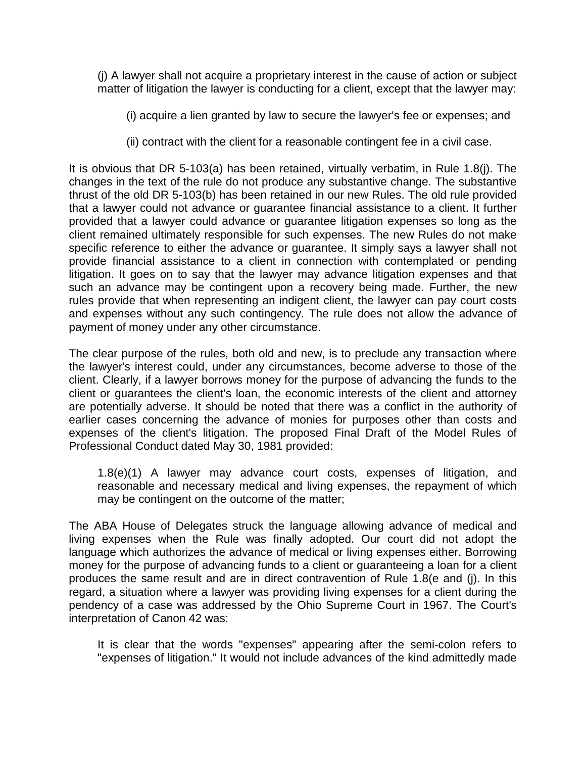(j) A lawyer shall not acquire a proprietary interest in the cause of action or subject matter of litigation the lawyer is conducting for a client, except that the lawyer may:

- (i) acquire a lien granted by law to secure the lawyer's fee or expenses; and
- (ii) contract with the client for a reasonable contingent fee in a civil case.

It is obvious that DR 5-103(a) has been retained, virtually verbatim, in Rule 1.8(j). The changes in the text of the rule do not produce any substantive change. The substantive thrust of the old DR 5-103(b) has been retained in our new Rules. The old rule provided that a lawyer could not advance or guarantee financial assistance to a client. It further provided that a lawyer could advance or guarantee litigation expenses so long as the client remained ultimately responsible for such expenses. The new Rules do not make specific reference to either the advance or guarantee. It simply says a lawyer shall not provide financial assistance to a client in connection with contemplated or pending litigation. It goes on to say that the lawyer may advance litigation expenses and that such an advance may be contingent upon a recovery being made. Further, the new rules provide that when representing an indigent client, the lawyer can pay court costs and expenses without any such contingency. The rule does not allow the advance of payment of money under any other circumstance.

The clear purpose of the rules, both old and new, is to preclude any transaction where the lawyer's interest could, under any circumstances, become adverse to those of the client. Clearly, if a lawyer borrows money for the purpose of advancing the funds to the client or guarantees the client's loan, the economic interests of the client and attorney are potentially adverse. It should be noted that there was a conflict in the authority of earlier cases concerning the advance of monies for purposes other than costs and expenses of the client's litigation. The proposed Final Draft of the Model Rules of Professional Conduct dated May 30, 1981 provided:

1.8(e)(1) A lawyer may advance court costs, expenses of litigation, and reasonable and necessary medical and living expenses, the repayment of which may be contingent on the outcome of the matter;

The ABA House of Delegates struck the language allowing advance of medical and living expenses when the Rule was finally adopted. Our court did not adopt the language which authorizes the advance of medical or living expenses either. Borrowing money for the purpose of advancing funds to a client or guaranteeing a loan for a client produces the same result and are in direct contravention of Rule 1.8(e and (j). In this regard, a situation where a lawyer was providing living expenses for a client during the pendency of a case was addressed by the Ohio Supreme Court in 1967. The Court's interpretation of Canon 42 was:

It is clear that the words "expenses" appearing after the semi-colon refers to "expenses of litigation." It would not include advances of the kind admittedly made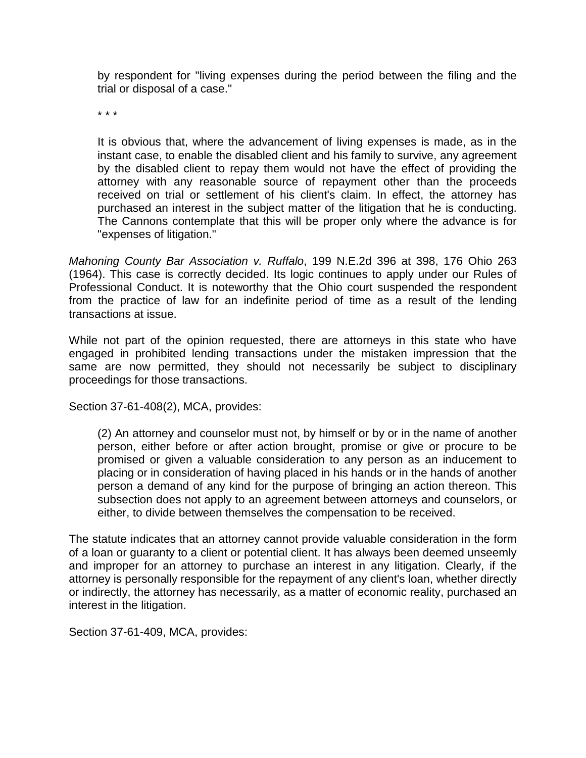by respondent for "living expenses during the period between the filing and the trial or disposal of a case."

\* \* \*

It is obvious that, where the advancement of living expenses is made, as in the instant case, to enable the disabled client and his family to survive, any agreement by the disabled client to repay them would not have the effect of providing the attorney with any reasonable source of repayment other than the proceeds received on trial or settlement of his client's claim. In effect, the attorney has purchased an interest in the subject matter of the litigation that he is conducting. The Cannons contemplate that this will be proper only where the advance is for "expenses of litigation."

*Mahoning County Bar Association v. Ruffalo*, 199 N.E.2d 396 at 398, 176 Ohio 263 (1964). This case is correctly decided. Its logic continues to apply under our Rules of Professional Conduct. It is noteworthy that the Ohio court suspended the respondent from the practice of law for an indefinite period of time as a result of the lending transactions at issue.

While not part of the opinion requested, there are attorneys in this state who have engaged in prohibited lending transactions under the mistaken impression that the same are now permitted, they should not necessarily be subject to disciplinary proceedings for those transactions.

Section 37-61-408(2), MCA, provides:

(2) An attorney and counselor must not, by himself or by or in the name of another person, either before or after action brought, promise or give or procure to be promised or given a valuable consideration to any person as an inducement to placing or in consideration of having placed in his hands or in the hands of another person a demand of any kind for the purpose of bringing an action thereon. This subsection does not apply to an agreement between attorneys and counselors, or either, to divide between themselves the compensation to be received.

The statute indicates that an attorney cannot provide valuable consideration in the form of a loan or guaranty to a client or potential client. It has always been deemed unseemly and improper for an attorney to purchase an interest in any litigation. Clearly, if the attorney is personally responsible for the repayment of any client's loan, whether directly or indirectly, the attorney has necessarily, as a matter of economic reality, purchased an interest in the litigation.

Section 37-61-409, MCA, provides: